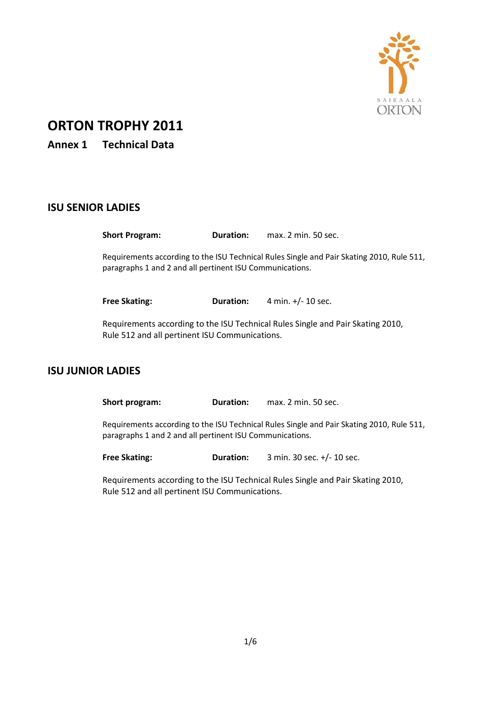

## **ORTON TROPHY 2011**

**Annex 1 Technical Data**

## **ISU SENIOR LADIES**

**Short Program: Duration:** max. 2 min. 50 sec. Requirements according to the ISU Technical Rules Single and Pair Skating 2010, Rule 511, paragraphs 1 and 2 and all pertinent ISU Communications.

**Free Skating: Duration:** 4 min. +/- 10 sec.

Requirements according to the ISU Technical Rules Single and Pair Skating 2010, Rule 512 and all pertinent ISU Communications.

## **ISU JUNIOR LADIES**

**Short program: Duration:** max. 2 min. 50 sec.

Requirements according to the ISU Technical Rules Single and Pair Skating 2010, Rule 511, paragraphs 1 and 2 and all pertinent ISU Communications.

**Free Skating: Duration:** 3 min. 30 sec. +/- 10 sec.

Requirements according to the ISU Technical Rules Single and Pair Skating 2010, Rule 512 and all pertinent ISU Communications.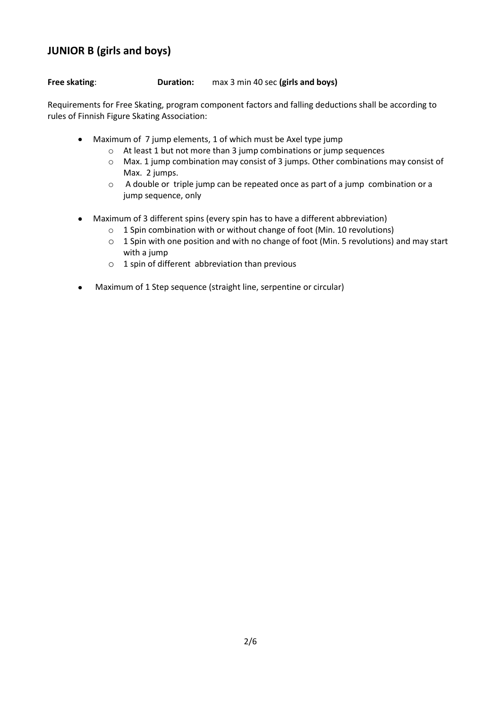# **JUNIOR B (girls and boys)**

### **Free skating**: **Duration:** max 3 min 40 sec **(girls and boys)**

Requirements for Free Skating, program component factors and falling deductions shall be according to rules of Finnish Figure Skating Association:

- Maximum of 7 jump elements, 1 of which must be Axel type jump
	- o At least 1 but not more than 3 jump combinations or jump sequences
	- o Max. 1 jump combination may consist of 3 jumps. Other combinations may consist of Max. 2 jumps.
	- o A double or triple jump can be repeated once as part of a jump combination or a jump sequence, only
- Maximum of 3 different spins (every spin has to have a different abbreviation)
	- o 1 Spin combination with or without change of foot (Min. 10 revolutions)
	- o 1 Spin with one position and with no change of foot (Min. 5 revolutions) and may start with a jump
	- $\circ$  1 spin of different abbreviation than previous
- Maximum of 1 Step sequence (straight line, serpentine or circular)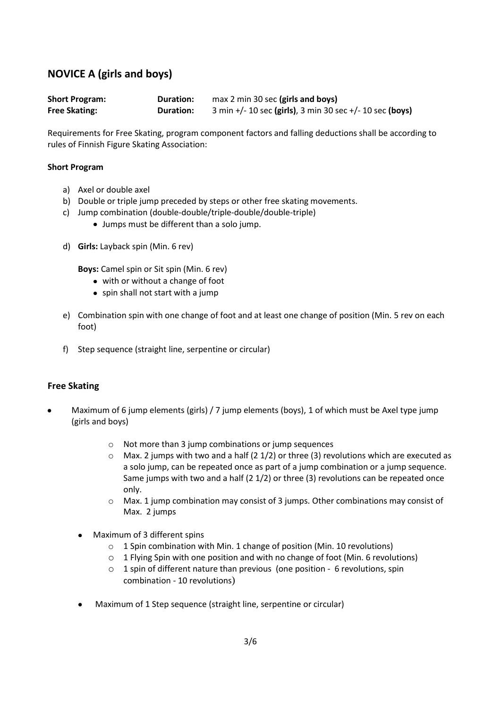## **NOVICE A (girls and boys)**

| <b>Short Program:</b> | <b>Duration:</b> | max 2 min 30 sec (girls and boys)                        |
|-----------------------|------------------|----------------------------------------------------------|
| <b>Free Skating:</b>  | <b>Duration:</b> | 3 min +/- 10 sec (girls), 3 min 30 sec +/- 10 sec (boys) |

Requirements for Free Skating, program component factors and falling deductions shall be according to rules of Finnish Figure Skating Association:

#### **Short Program**

- a) Axel or double axel
- b) Double or triple jump preceded by steps or other free skating movements.
- c) Jump combination (double-double/triple-double/double-triple)
	- Jumps must be different than a solo jump.
- d) **Girls:** Layback spin (Min. 6 rev)

**Boys:** Camel spin or Sit spin (Min. 6 rev)

- with or without a change of foot
- spin shall not start with a jump
- e) Combination spin with one change of foot and at least one change of position (Min. 5 rev on each foot)
- f) Step sequence (straight line, serpentine or circular)

#### **Free Skating**

- Maximum of 6 jump elements (girls) / 7 jump elements (boys), 1 of which must be Axel type jump (girls and boys)
	- o Not more than 3 jump combinations or jump sequences
	- $\circ$  Max. 2 jumps with two and a half (2 1/2) or three (3) revolutions which are executed as a solo jump, can be repeated once as part of a jump combination or a jump sequence. Same jumps with two and a half (2 1/2) or three (3) revolutions can be repeated once only.
	- o Max. 1 jump combination may consist of 3 jumps. Other combinations may consist of Max. 2 jumps
	- Maximum of 3 different spins
		- o 1 Spin combination with Min. 1 change of position (Min. 10 revolutions)
		- o 1 Flying Spin with one position and with no change of foot (Min. 6 revolutions)
		- o 1 spin of different nature than previous (one position 6 revolutions, spin combination - 10 revolutions)
	- Maximum of 1 Step sequence (straight line, serpentine or circular)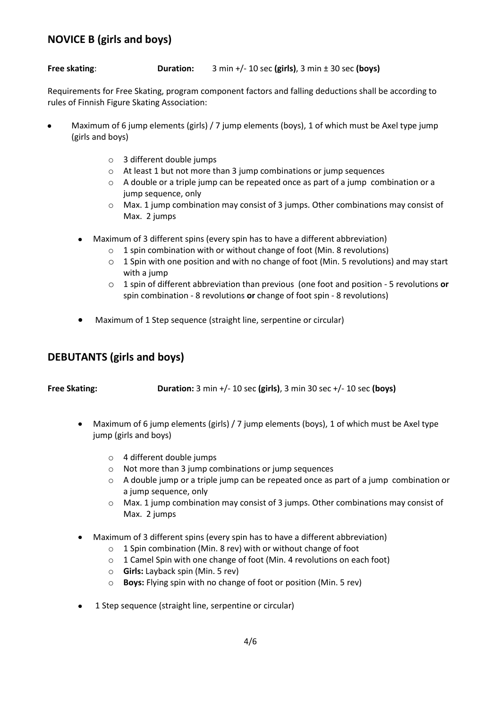## **NOVICE B (girls and boys)**

### **Free skating**: **Duration:** 3 min +/- 10 sec **(girls)**, 3 min ± 30 sec **(boys)**

Requirements for Free Skating, program component factors and falling deductions shall be according to rules of Finnish Figure Skating Association:

- Maximum of 6 jump elements (girls) / 7 jump elements (boys), 1 of which must be Axel type jump (girls and boys)
	- o 3 different double jumps
	- o At least 1 but not more than 3 jump combinations or jump sequences
	- $\circ$  A double or a triple jump can be repeated once as part of a jump combination or a jump sequence, only
	- $\circ$  Max. 1 jump combination may consist of 3 jumps. Other combinations may consist of Max. 2 jumps
	- Maximum of 3 different spins (every spin has to have a different abbreviation)
		- $\circ$  1 spin combination with or without change of foot (Min. 8 revolutions)
		- $\circ$  1 Spin with one position and with no change of foot (Min. 5 revolutions) and may start with a jump
		- o 1 spin of different abbreviation than previous (one foot and position 5 revolutions **or** spin combination - 8 revolutions **or** change of foot spin - 8 revolutions)
	- Maximum of 1 Step sequence (straight line, serpentine or circular)

## **DEBUTANTS (girls and boys)**

**Free Skating: Duration:** 3 min +/- 10 sec **(girls)**, 3 min 30 sec +/- 10 sec **(boys)**

- Maximum of 6 jump elements (girls) / 7 jump elements (boys), 1 of which must be Axel type jump (girls and boys)
	- o 4 different double jumps
	- o Not more than 3 jump combinations or jump sequences
	- $\circ$  A double jump or a triple jump can be repeated once as part of a jump combination or a jump sequence, only
	- $\circ$  Max. 1 jump combination may consist of 3 jumps. Other combinations may consist of Max. 2 jumps
- Maximum of 3 different spins (every spin has to have a different abbreviation)
	- o 1 Spin combination (Min. 8 rev) with or without change of foot
	- o 1 Camel Spin with one change of foot (Min. 4 revolutions on each foot)
	- o **Girls:** Layback spin (Min. 5 rev)
	- o **Boys:** Flying spin with no change of foot or position (Min. 5 rev)
- 1 Step sequence (straight line, serpentine or circular)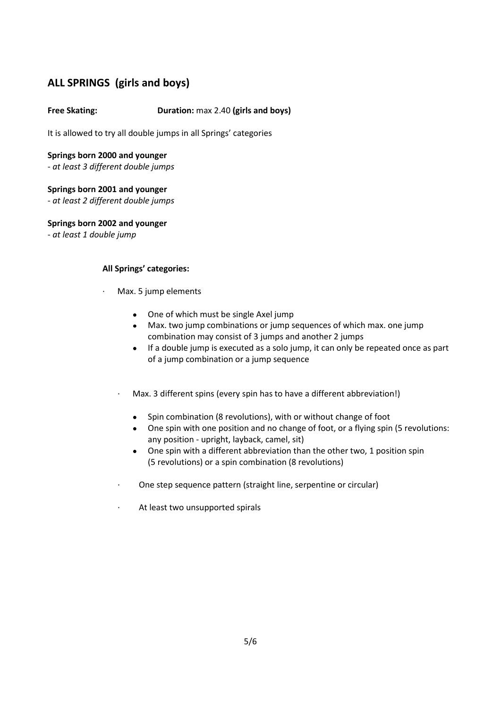## **ALL SPRINGS (girls and boys)**

## **Free Skating: Duration:** max 2.40 **(girls and boys)**

It is allowed to try all double jumps in all Springs' categories

#### **Springs born 2000 and younger**

- *at least 3 different double jumps*

## **Springs born 2001 and younger**

- *at least 2 different double jumps*

**Springs born 2002 and younger**

- *at least 1 double jump*

### **All Springs' categories:**

- · Max. 5 jump elements
	- One of which must be single Axel jump
	- Max. two jump combinations or jump sequences of which max. one jump combination may consist of 3 jumps and another 2 jumps
	- If a double jump is executed as a solo jump, it can only be repeated once as part of a jump combination or a jump sequence
	- · Max. 3 different spins (every spin has to have a different abbreviation!)
		- $\bullet$ Spin combination (8 revolutions), with or without change of foot
		- One spin with one position and no change of foot, or a flying spin (5 revolutions: any position - upright, layback, camel, sit)
		- One spin with a different abbreviation than the other two, 1 position spin (5 revolutions) or a spin combination (8 revolutions)
	- · One step sequence pattern (straight line, serpentine or circular)
	- At least two unsupported spirals